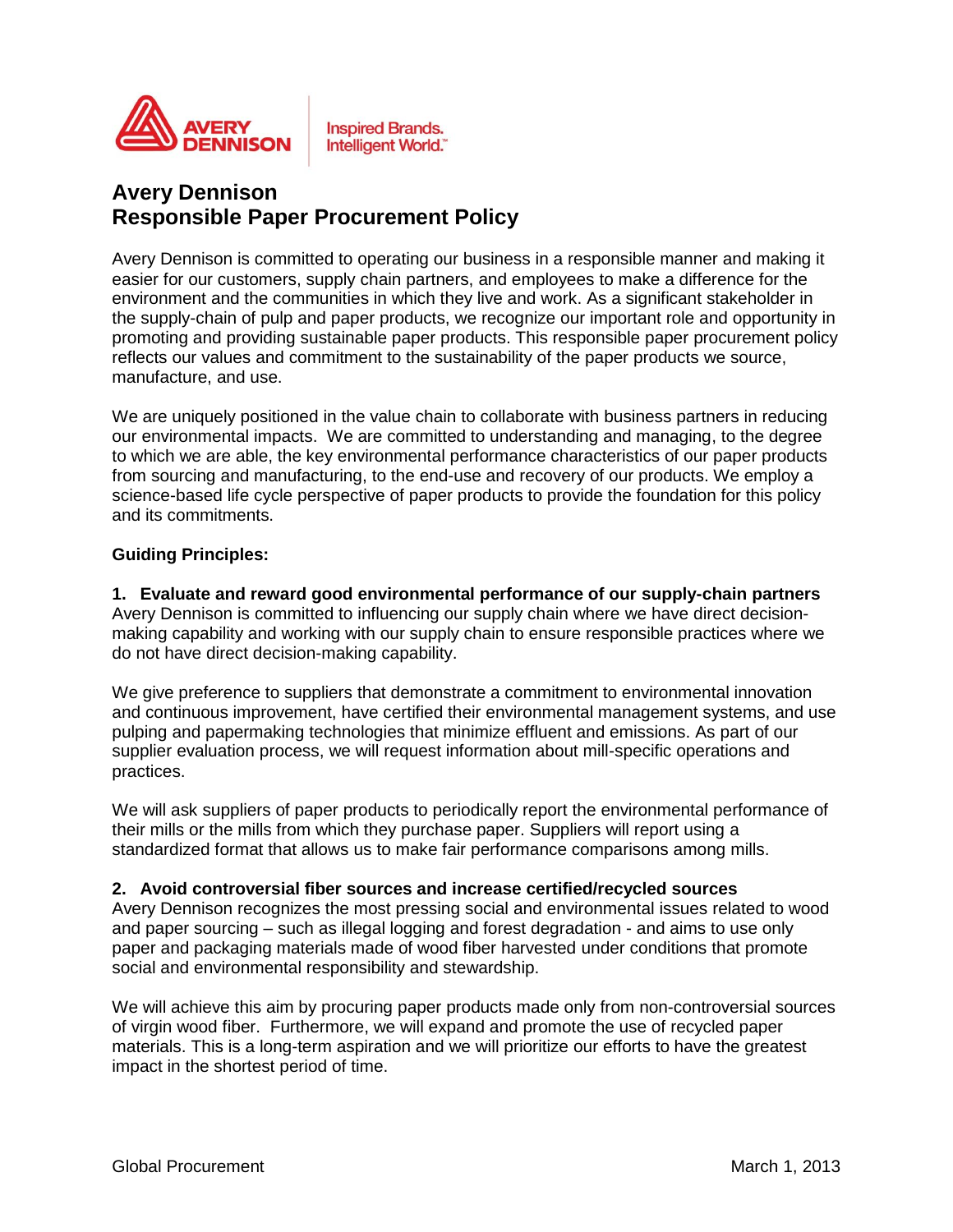

**Inspired Brands.** Intelligent World."

# **Avery Dennison Responsible Paper Procurement Policy**

Avery Dennison is committed to operating our business in a responsible manner and making it easier for our customers, supply chain partners, and employees to make a difference for the environment and the communities in which they live and work. As a significant stakeholder in the supply-chain of pulp and paper products, we recognize our important role and opportunity in promoting and providing sustainable paper products. This responsible paper procurement policy reflects our values and commitment to the sustainability of the paper products we source, manufacture, and use.

We are uniquely positioned in the value chain to collaborate with business partners in reducing our environmental impacts. We are committed to understanding and managing, to the degree to which we are able, the key environmental performance characteristics of our paper products from sourcing and manufacturing, to the end-use and recovery of our products. We employ a science-based life cycle perspective of paper products to provide the foundation for this policy and its commitments.

### **Guiding Principles:**

**1. Evaluate and reward good environmental performance of our supply-chain partners** Avery Dennison is committed to influencing our supply chain where we have direct decisionmaking capability and working with our supply chain to ensure responsible practices where we do not have direct decision-making capability.

We give preference to suppliers that demonstrate a commitment to environmental innovation and continuous improvement, have certified their environmental management systems, and use pulping and papermaking technologies that minimize effluent and emissions. As part of our supplier evaluation process, we will request information about mill-specific operations and practices.

We will ask suppliers of paper products to periodically report the environmental performance of their mills or the mills from which they purchase paper. Suppliers will report using a standardized format that allows us to make fair performance comparisons among mills.

#### **2. Avoid controversial fiber sources and increase certified/recycled sources**

Avery Dennison recognizes the most pressing social and environmental issues related to wood and paper sourcing – such as illegal logging and forest degradation - and aims to use only paper and packaging materials made of wood fiber harvested under conditions that promote social and environmental responsibility and stewardship.

We will achieve this aim by procuring paper products made only from non-controversial sources of virgin wood fiber. Furthermore, we will expand and promote the use of recycled paper materials. This is a long-term aspiration and we will prioritize our efforts to have the greatest impact in the shortest period of time.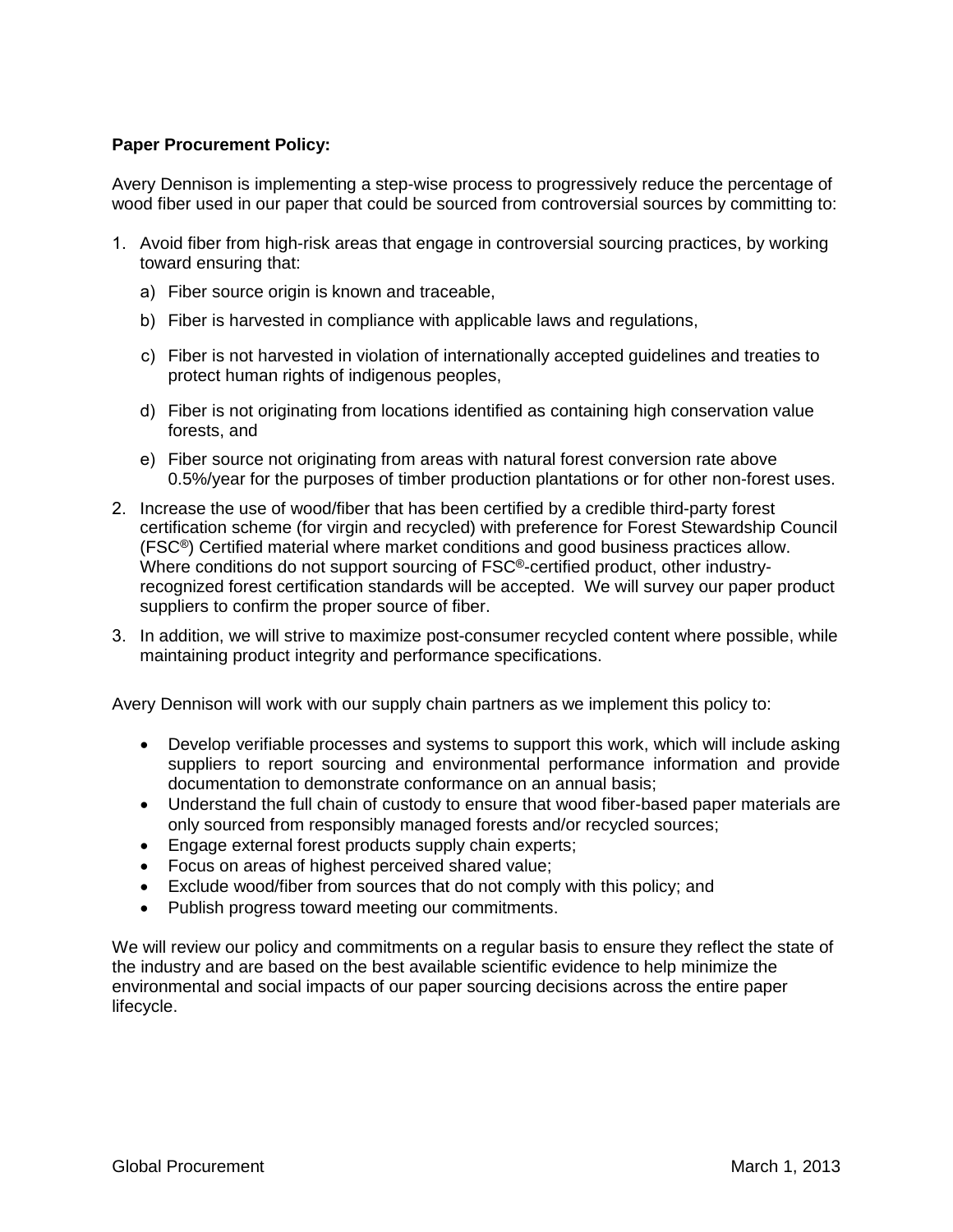## **Paper Procurement Policy:**

Avery Dennison is implementing a step-wise process to progressively reduce the percentage of wood fiber used in our paper that could be sourced from controversial sources by committing to:

- 1. Avoid fiber from high-risk areas that engage in controversial sourcing practices, by working toward ensuring that:
	- a) Fiber source origin is known and traceable,
	- b) Fiber is harvested in compliance with applicable laws and regulations,
	- c) Fiber is not harvested in violation of internationally accepted guidelines and treaties to protect human rights of indigenous peoples,
	- d) Fiber is not originating from locations identified as containing high conservation value forests, and
	- e) Fiber source not originating from areas with natural forest conversion rate above 0.5%/year for the purposes of timber production plantations or for other non-forest uses.
- 2. Increase the use of wood/fiber that has been certified by a credible third-party forest certification scheme (for virgin and recycled) with preference for Forest Stewardship Council (FSC®) Certified material where market conditions and good business practices allow. Where conditions do not support sourcing of FSC®-certified product, other industryrecognized forest certification standards will be accepted. We will survey our paper product suppliers to confirm the proper source of fiber.
- 3. In addition, we will strive to maximize post-consumer recycled content where possible, while maintaining product integrity and performance specifications.

Avery Dennison will work with our supply chain partners as we implement this policy to:

- Develop verifiable processes and systems to support this work, which will include asking suppliers to report sourcing and environmental performance information and provide documentation to demonstrate conformance on an annual basis;
- Understand the full chain of custody to ensure that wood fiber-based paper materials are only sourced from responsibly managed forests and/or recycled sources;
- **Engage external forest products supply chain experts;**
- Focus on areas of highest perceived shared value;
- Exclude wood/fiber from sources that do not comply with this policy; and
- Publish progress toward meeting our commitments.

We will review our policy and commitments on a regular basis to ensure they reflect the state of the industry and are based on the best available scientific evidence to help minimize the environmental and social impacts of our paper sourcing decisions across the entire paper lifecycle.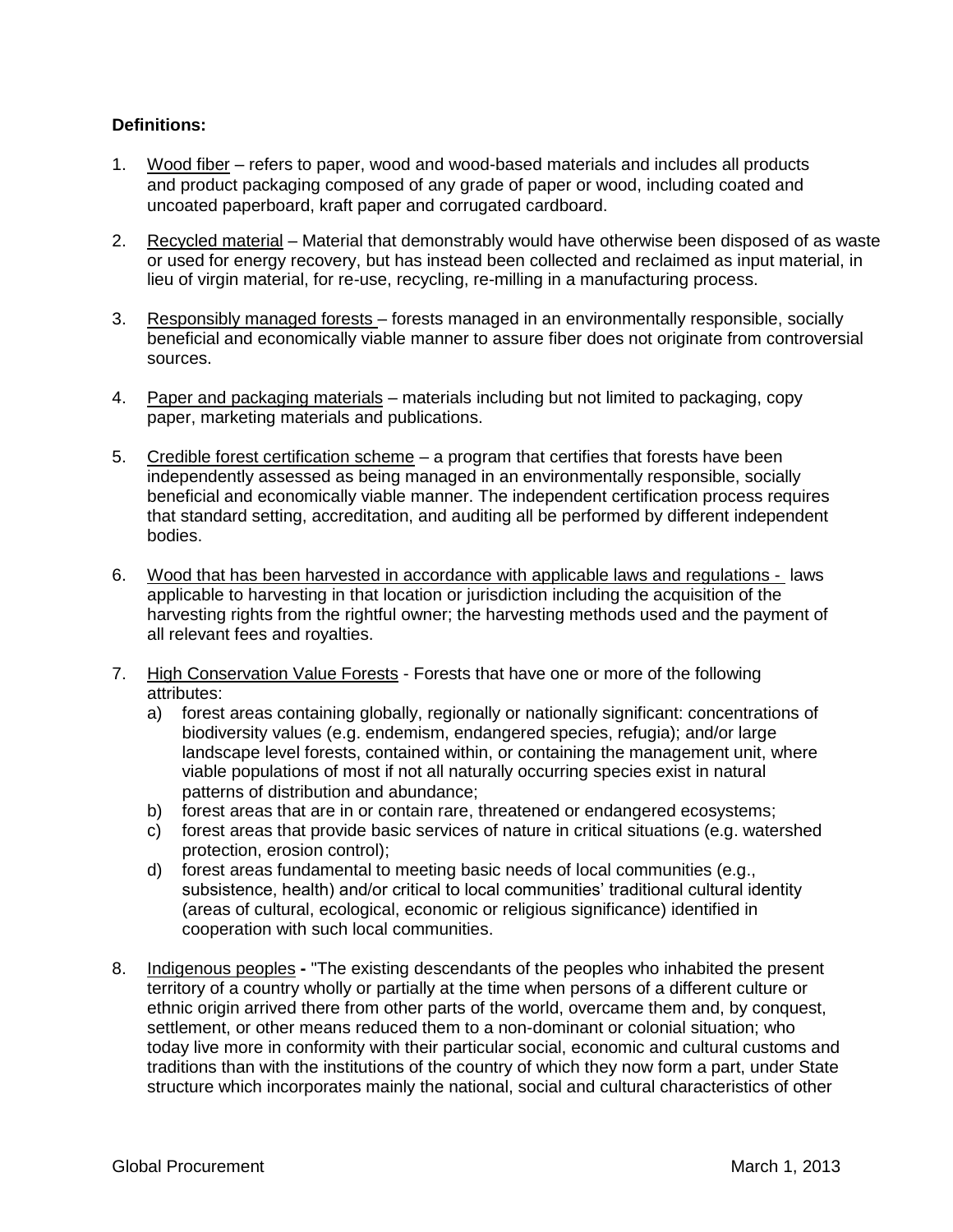## **Definitions:**

- 1. Wood fiber refers to paper, wood and wood-based materials and includes all products and product packaging composed of any grade of paper or wood, including coated and uncoated paperboard, kraft paper and corrugated cardboard.
- 2. Recycled material Material that demonstrably would have otherwise been disposed of as waste or used for energy recovery, but has instead been collected and reclaimed as input material, in lieu of virgin material, for re-use, recycling, re-milling in a manufacturing process.
- 3. Responsibly managed forests forests managed in an environmentally responsible, socially beneficial and economically viable manner to assure fiber does not originate from controversial sources.
- 4. Paper and packaging materials materials including but not limited to packaging, copy paper, marketing materials and publications.
- 5. Credible forest certification scheme a program that certifies that forests have been independently assessed as being managed in an environmentally responsible, socially beneficial and economically viable manner. The independent certification process requires that standard setting, accreditation, and auditing all be performed by different independent bodies.
- 6. Wood that has been harvested in accordance with applicable laws and regulations laws applicable to harvesting in that location or jurisdiction including the acquisition of the harvesting rights from the rightful owner; the harvesting methods used and the payment of all relevant fees and royalties.
- 7. High Conservation Value Forests Forests that have one or more of the following attributes:
	- a) forest areas containing globally, regionally or nationally significant: concentrations of biodiversity values (e.g. endemism, endangered species, refugia); and/or large landscape level forests, contained within, or containing the management unit, where viable populations of most if not all naturally occurring species exist in natural patterns of distribution and abundance;
	- b) forest areas that are in or contain rare, threatened or endangered ecosystems;
	- c) forest areas that provide basic services of nature in critical situations (e.g. watershed protection, erosion control);
	- d) forest areas fundamental to meeting basic needs of local communities (e.g., subsistence, health) and/or critical to local communities' traditional cultural identity (areas of cultural, ecological, economic or religious significance) identified in cooperation with such local communities.
- 8. Indigenous peoples"The existing descendants of the peoples who inhabited the present territory of a country wholly or partially at the time when persons of a different culture or ethnic origin arrived there from other parts of the world, overcame them and, by conquest, settlement, or other means reduced them to a non-dominant or colonial situation; who today live more in conformity with their particular social, economic and cultural customs and traditions than with the institutions of the country of which they now form a part, under State structure which incorporates mainly the national, social and cultural characteristics of other